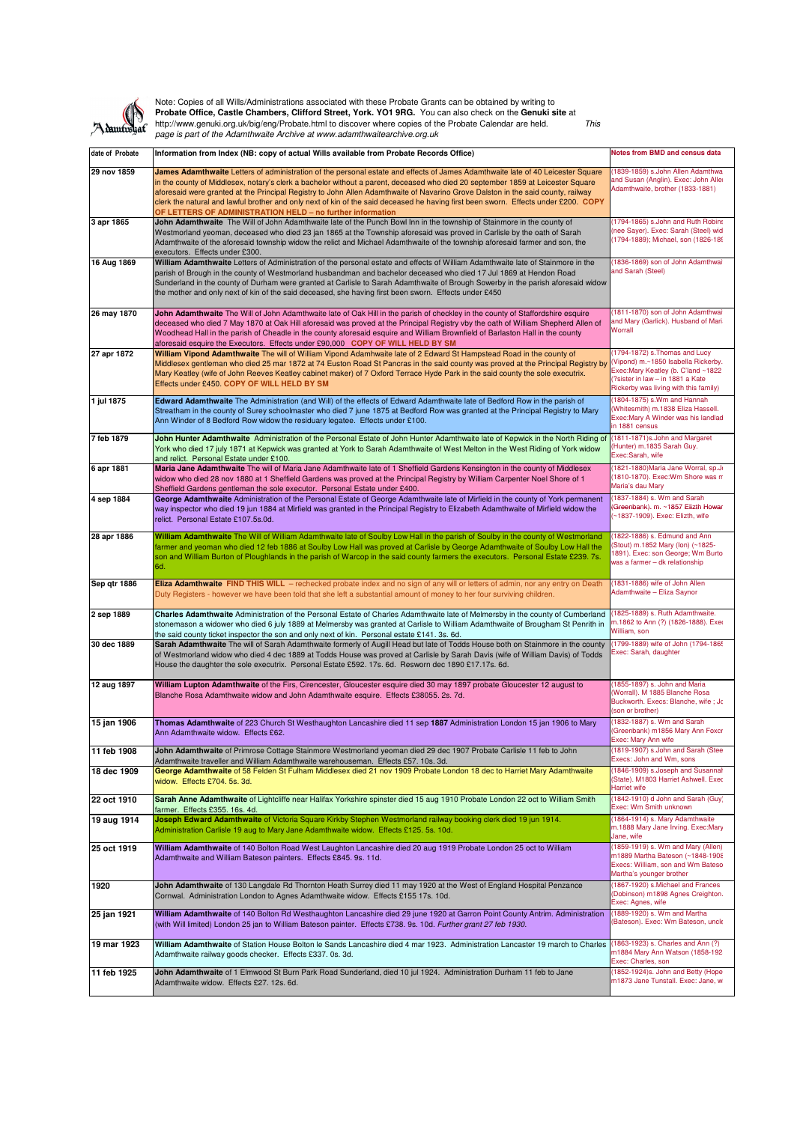

Note: Copies of all Wills/Administrations associated with these Probate Grants can be obtained by writing to **Probate Office, Castle Chambers, Clifford Street, York. YO1 9RG.** You can also check on the **Genuki site** at http://www.genuki.org.uk/big/eng/Probate.html to discover where copies of the Probate Calendar are held. This page is part of the Adamthwaite Archive at www.adamthwaitearchive.org.uk

| date of Probate | Information from Index (NB: copy of actual Wills available from Probate Records Office)                                                                                                                                                                                                                                                                                                                                                                                                             | <b>Notes from BMD and census data</b>                                                                                                                                                    |
|-----------------|-----------------------------------------------------------------------------------------------------------------------------------------------------------------------------------------------------------------------------------------------------------------------------------------------------------------------------------------------------------------------------------------------------------------------------------------------------------------------------------------------------|------------------------------------------------------------------------------------------------------------------------------------------------------------------------------------------|
| 29 nov 1859     | James Adamthwaite Letters of administration of the personal estate and effects of James Adamthwaite late of 40 Leicester Square                                                                                                                                                                                                                                                                                                                                                                     | (1839-1859) s.John Allen Adamthwa                                                                                                                                                        |
|                 | in the county of Middlesex, notary's clerk a bachelor without a parent, deceased who died 20 september 1859 at Leicester Square<br>aforesaid were granted at the Principal Registry to John Allen Adamthwaite of Navarino Grove Dalston in the said county, railway<br>clerk the natural and lawful brother and only next of kin of the said deceased he having first been sworn. Effects under £200. COPY<br>OF LETTERS OF ADMINISTRATION HELD - no further information                            | and Susan (Anglin). Exec: John Aller<br>Adamthwaite, brother (1833-1881)                                                                                                                 |
| 3 apr 1865      | John Adamthwaite The Will of John Adamthwaite late of the Punch Bowl Inn in the township of Stainmore in the county of<br>Westmorland yeoman, deceased who died 23 jan 1865 at the Township aforesaid was proved in Carlisle by the oath of Sarah<br>Adamthwaite of the aforesaid township widow the relict and Michael Adamthwaite of the township aforesaid farmer and son, the<br>executors. Effects under £300.                                                                                 | (1794-1865) s.John and Ruth Robins<br>(nee Sayer). Exec: Sarah (Steel) wid<br>(1794-1889); Michael, son (1826-189                                                                        |
| 16 Aug 1869     | William Adamthwaite Letters of Administration of the personal estate and effects of William Adamthwaite late of Stainmore in the<br>parish of Brough in the county of Westmorland husbandman and bachelor deceased who died 17 Jul 1869 at Hendon Road<br>Sunderland in the county of Durham were granted at Carlisle to Sarah Adamthwaite of Brough Sowerby in the parish aforesaid widow<br>the mother and only next of kin of the said deceased, she having first been sworn. Effects under £450 | (1836-1869) son of John Adamthwai<br>and Sarah (Steel)                                                                                                                                   |
| 26 may 1870     | John Adamthwaite The Will of John Adamthwaite late of Oak Hill in the parish of checkley in the county of Staffordshire esquire<br>deceased who died 7 May 1870 at Oak Hill aforesaid was proved at the Principal Registry vby the oath of William Shepherd Allen of<br>Woodhead Hall in the parish of Cheadle in the county aforesaid esquire and William Brownfield of Barlaston Hall in the county<br>aforesaid esquire the Executors. Effects under £90,000 COPY OF WILL HELD BY SM             | 1811-1870) son of John Adamthwai<br>and Mary (Garlick). Husband of Maria<br>Worrall                                                                                                      |
| 27 apr 1872     | William Vipond Adamthwaite The will of William Vipond Adamhwaite late of 2 Edward St Hampstead Road in the county of<br>Middlesex gentleman who died 25 mar 1872 at 74 Euston Road St Pancras in the said county was proved at the Principal Registry by<br>Mary Keatley (wife of John Reeves Keatley cabinet maker) of 7 Oxford Terrace Hyde Park in the said county the sole executrix.<br>Effects under £450. COPY OF WILL HELD BY SM                                                            | (1794-1872) s. Thomas and Lucy<br>(Vipond) m.~1850 Isabella Rickerby.<br>Exec:Mary Keatley (b. C'land ~1822<br>(?sister in law - in 1881 a Kate<br>Rickerby was living with this family) |
| 1 jul 1875      | Edward Adamthwaite The Administration (and Will) of the effects of Edward Adamthwaite late of Bedford Row in the parish of<br>Streatham in the county of Surey schoolmaster who died 7 june 1875 at Bedford Row was granted at the Principal Registry to Mary<br>Ann Winder of 8 Bedford Row widow the residuary legatee. Effects under £100.                                                                                                                                                       | (1804-1875) s.Wm and Hannah<br>(Whitesmith) m.1838 Eliza Hassell.<br>Exec: Mary A Winder was his landlad<br>in 1881 census                                                               |
| 7 feb 1879      | John Hunter Adamthwaite Administration of the Personal Estate of John Hunter Adamthwaite late of Kepwick in the North Riding of<br>York who died 17 july 1871 at Kepwick was granted at York to Sarah Adamthwaite of West Melton in the West Riding of York widow<br>and relict. Personal Estate under £100.                                                                                                                                                                                        | (1811-1871) s. John and Margaret<br>(Hunter) m.1835 Sarah Guy.<br>Exec:Sarah, wife                                                                                                       |
| 6 apr 1881      | Maria Jane Adamthwaite The will of Maria Jane Adamthwaite late of 1 Sheffield Gardens Kensington in the county of Middlesex<br>widow who died 28 nov 1880 at 1 Sheffield Gardens was proved at the Principal Registry by William Carpenter Noel Shore of 1<br>Sheffield Gardens gentleman the sole executor. Personal Estate under £400.                                                                                                                                                            | (1821-1880) Maria Jane Worral, sp.Jo<br>(1810-1870). Exec: Wm Shore was m<br>Maria's dau Mary                                                                                            |
| 4 sep 1884      | George Adamthwaite Administration of the Personal Estate of George Adamthwaite late of Mirfield in the county of York permanent<br>way inspector who died 19 jun 1884 at Mirfield was granted in the Principal Registry to Elizabeth Adamthwaite of Mirfield widow the<br>relict. Personal Estate £107.5s.0d.                                                                                                                                                                                       | (1837-1884) s. Wm and Sarah<br>(Greenbank). m. ~1857 Elizth Howar<br>~1837-1909). Exec: Elizth, wife                                                                                     |
| 28 apr 1886     | William Adamthwaite The Will of William Adamthwaite late of Soulby Low Hall in the parish of Soulby in the county of Westmorland<br>farmer and yeoman who died 12 feb 1886 at Soulby Low Hall was proved at Carlisle by George Adamthwaite of Soulby Low Hall the<br>son and William Burton of Ploughlands in the parish of Warcop in the said county farmers the executors. Personal Estate £239.7s.<br>6d.                                                                                        | (1822-1886) s. Edmund and Ann<br>(Stout) m.1852 Mary (Ion) (~1825-<br>1891). Exec: son George; Wm Burto<br>was a farmer - dk relationship                                                |
| Sep qtr 1886    | Eliza Adamthwaite FIND THIS WILL - rechecked probate index and no sign of any will or letters of admin, nor any entry on Death<br>Duty Registers - however we have been told that she left a substantial amount of money to her four surviving children.                                                                                                                                                                                                                                            | (1831-1886) wife of John Allen<br>Adamthwaite - Eliza Saynor                                                                                                                             |
| 2 sep 1889      | Charles Adamthwaite Administration of the Personal Estate of Charles Adamthwaite late of Melmersby in the county of Cumberland<br>stonemason a widower who died 6 july 1889 at Melmersby was granted at Carlisle to William Adamthwaite of Brougham St Penrith in<br>the said county ticket inspector the son and only next of kin. Personal estate £141. 3s. 6d.                                                                                                                                   | (1825-1889) s. Ruth Adamthwaite.<br>m.1862 to Ann (?) (1826-1888). Exer<br>William, son                                                                                                  |
| 30 dec 1889     | Sarah Adamthwaite The will of Sarah Adamthwaite formerly of Augill Head but late of Todds House both on Stainmore in the county<br>of Westmorland widow who died 4 dec 1889 at Todds House was proved at Carlisle by Sarah Davis (wife of William Davis) of Todds<br>House the daughter the sole executrix. Personal Estate £592. 17s. 6d. Resworn dec 1890 £17.17s. 6d.                                                                                                                            | 1799-1889) wife of John (1794-1865<br>Exec: Sarah, daughter                                                                                                                              |
| 12 aug 1897     | William Lupton Adamthwaite of the Firs, Cirencester, Gloucester esquire died 30 may 1897 probate Gloucester 12 august to<br>Blanche Rosa Adamthwaite widow and John Adamthwaite esquire. Effects £38055. 2s. 7d.                                                                                                                                                                                                                                                                                    | (1855-1897) s. John and Maria<br>(Worrall). M 1885 Blanche Rosa<br>Buckworth. Execs: Blanche, wife; Jc<br>(son or brother)                                                               |
| 15 jan 1906     | Thomas Adamthwaite of 223 Church St Westhaughton Lancashire died 11 sep 1887 Administration London 15 jan 1906 to Mary<br>Ann Adamthwaite widow. Effects £62.                                                                                                                                                                                                                                                                                                                                       | (1832-1887) s. Wm and Sarah<br>(Greenbank) m1856 Mary Ann Foxcr<br>Exec: Mary Ann wife                                                                                                   |
| 11 feb 1908     | John Adamthwaite of Primrose Cottage Stainmore Westmorland yeoman died 29 dec 1907 Probate Carlisle 11 feb to John<br>Adamthwaite traveller and William Adamthwaite warehouseman. Effects £57. 10s. 3d.                                                                                                                                                                                                                                                                                             | (1819-1907) s.John and Sarah (Stee<br>Execs: John and Wm, sons                                                                                                                           |
| 18 dec 1909     | George Adamthwaite of 58 Felden St Fulham Middlesex died 21 nov 1909 Probate London 18 dec to Harriet Mary Adamthwaite<br>widow. Effects £704. 5s. 3d.                                                                                                                                                                                                                                                                                                                                              | (1846-1909) s.Joseph and Susannal<br>(State). M1803 Harriet Ashwell. Exec<br>Harriet wife                                                                                                |
| 22 oct 1910     | Sarah Anne Adamthwaite of Lightcliffe near Halifax Yorkshire spinster died 15 aug 1910 Probate London 22 oct to William Smith<br>farmer. Effects £355. 16s. 4d.                                                                                                                                                                                                                                                                                                                                     | (1842-1910) d John and Sarah (Guy)<br>Exec: Wm Smith unknown                                                                                                                             |
| 19 aug 1914     | Joseph Edward Adamthwaite of Victoria Square Kirkby Stephen Westmorland railway booking clerk died 19 jun 1914.<br>Administration Carlisle 19 aug to Mary Jane Adamthwaite widow. Effects £125. 5s. 10d.                                                                                                                                                                                                                                                                                            | (1864-1914) s. Mary Adamthwaite<br>m.1888 Mary Jane Irving. Exec:Mary<br>Jane, wife                                                                                                      |
| 25 oct 1919     | William Adamthwaite of 140 Bolton Road West Laughton Lancashire died 20 aug 1919 Probate London 25 oct to William<br>Adamthwaite and William Bateson painters. Effects £845. 9s. 11d.                                                                                                                                                                                                                                                                                                               | (1859-1919) s. Wm and Mary (Allen)<br>m1889 Martha Bateson (~1848-1908<br>Execs: William, son and Wm Bateso<br>Martha's younger brother                                                  |
| 1920            | John Adamthwaite of 130 Langdale Rd Thornton Heath Surrey died 11 may 1920 at the West of England Hospital Penzance<br>Cornwal. Administration London to Agnes Adamthwaite widow. Effects £155 17s. 10d.                                                                                                                                                                                                                                                                                            | (1867-1920) s.Michael and Frances<br>(Dobinson) m1898 Agnes Creighton.<br>Exec: Agnes, wife                                                                                              |
| 25 jan 1921     | William Adamthwaite of 140 Bolton Rd Westhaughton Lancashire died 29 june 1920 at Garron Point County Antrim. Administration<br>(with Will limited) London 25 jan to William Bateson painter. Effects £738. 9s. 10d. Further grant 27 feb 1930.                                                                                                                                                                                                                                                     | (1889-1920) s. Wm and Martha<br>(Bateson). Exec: Wm Bateson, uncle                                                                                                                       |
| 19 mar 1923     | William Adamthwaite of Station House Bolton le Sands Lancashire died 4 mar 1923. Administration Lancaster 19 march to Charles<br>Adamthwaite railway goods checker. Effects £337. 0s. 3d.                                                                                                                                                                                                                                                                                                           | (1863-1923) s. Charles and Ann (?)<br>m1884 Mary Ann Watson (1858-192<br>Exec: Charles, son                                                                                              |
| 11 feb 1925     | John Adamthwaite of 1 Elmwood St Burn Park Road Sunderland, died 10 jul 1924. Administration Durham 11 feb to Jane<br>Adamthwaite widow. Effects £27. 12s. 6d.                                                                                                                                                                                                                                                                                                                                      | (1852-1924)s. John and Betty (Hope<br>m1873 Jane Tunstall. Exec: Jane, wi                                                                                                                |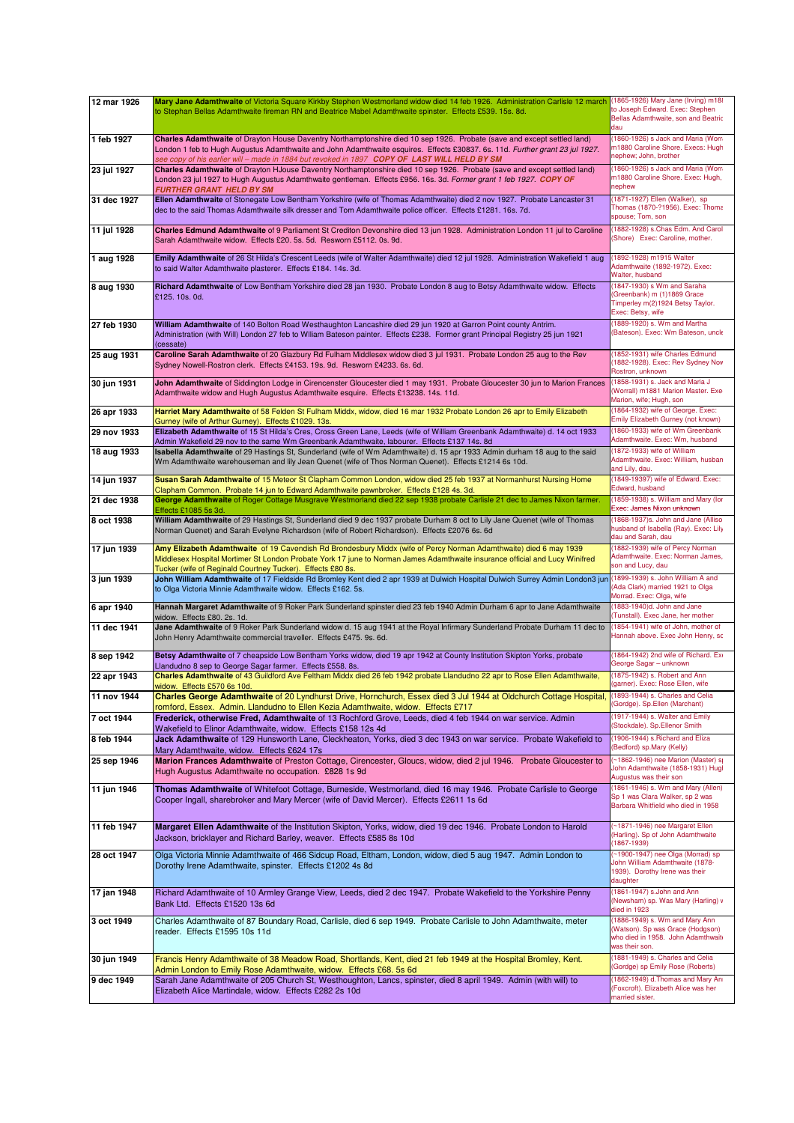| (1860-1926) s Jack and Maria (Worn<br>Charles Adamthwaite of Drayton House Daventry Northamptonshire died 10 sep 1926. Probate (save and except settled land)<br>1 feb 1927<br>m1880 Caroline Shore. Execs: Hugh<br>London 1 feb to Hugh Augustus Adamthwaite and John Adamthwaite esquires. Effects £30837. 6s. 11d. Further grant 23 jul 1927.<br>nephew; John, brother<br>see copy of his earlier will – made in 1884 but revoked in 1897 $\,$ COPY OF LAST WILL HELD BY SM<br>(1860-1926) s Jack and Maria (Worn<br>23 jul 1927<br>Charles Adamthwaite of Drayton HJouse Daventry Northamptonshire died 10 sep 1926. Probate (save and except settled land)<br>m1880 Caroline Shore. Exec: Hugh,<br>London 23 jul 1927 to Hugh Augustus Adamthwaite gentleman. Effects £956. 16s. 3d. Former grant 1 feb 1927. COPY OF<br>nephew<br>FURTHER GRANT HELD BY SM<br>Ellen Adamthwaite of Stonegate Low Bentham Yorkshire (wife of Thomas Adamthwaite) died 2 nov 1927. Probate Lancaster 31<br>(1871-1927) Ellen (Walker), sp<br>31 dec 1927<br>Thomas (1870-?1956). Exec: Thoma<br>dec to the said Thomas Adamthwaite silk dresser and Tom Adamthwaite police officer. Effects £1281. 16s. 7d.<br>spouse; Tom, son<br>(1882-1928) s.Chas Edm. And Carol<br>11 jul 1928<br>Charles Edmund Adamthwaite of 9 Parliament St Crediton Devonshire died 13 jun 1928. Administration London 11 jul to Caroline<br>(Shore) Exec: Caroline, mother.<br>Sarah Adamthwaite widow. Effects £20. 5s. 5d. Resworn £5112. 0s. 9d.<br>(1892-1928) m1915 Walter<br>Emily Adamthwaite of 26 St Hilda's Crescent Leeds (wife of Walter Adamthwaite) died 12 jul 1928. Administration Wakefield 1 aug<br>1 aug 1928<br>Adamthwaite (1892-1972). Exec:<br>to said Walter Adamthwaite plasterer. Effects £184. 14s. 3d.<br>Walter, husband<br>(1847-1930) s Wm and Saraha<br>8 aug 1930<br>Richard Adamthwaite of Low Bentham Yorkshire died 28 jan 1930. Probate London 8 aug to Betsy Adamthwaite widow. Effects<br>(Greenbank) m (1)1869 Grace<br>£125.10s.0d.<br>Timperley m(2)1924 Betsy Taylor.<br>Exec: Betsy, wife<br>(1889-1920) s. Wm and Martha<br>27 feb 1930<br>William Adamthwaite of 140 Bolton Road Westhaughton Lancashire died 29 jun 1920 at Garron Point county Antrim.<br>Bateson). Exec: Wm Bateson, uncle<br>Administration (with Will) London 27 feb to Wlliam Bateson painter. Effects £238. Former grant Principal Registry 25 jun 1921<br>(cessate)<br>(1852-1931) wife Charles Edmund<br>25 aug 1931<br>Caroline Sarah Adamthwaite of 20 Glazbury Rd Fulham Middlesex widow died 3 jul 1931. Probate London 25 aug to the Rev<br>(1882-1928). Exec: Rev Sydney Nov<br>Sydney Nowell-Rostron clerk. Effects £4153. 19s. 9d. Resworn £4233. 6s. 6d.<br>Rostron, unknown<br>John Adamthwaite of Siddington Lodge in Cirencenster Gloucester died 1 may 1931. Probate Gloucester 30 jun to Marion Frances<br>(1858-1931) s. Jack and Maria J<br>30 jun 1931<br>(Worrall) m1881 Marion Master. Exe<br>Adamthwaite widow and Hugh Augustus Adamthwaite esquire. Effects £13238. 14s. 11d.<br>Marion, wife; Hugh, son<br>(1864-1932) wife of George. Exec:<br>Harriet Mary Adamthwaite of 58 Felden St Fulham Middx, widow, died 16 mar 1932 Probate London 26 apr to Emily Elizabeth<br>26 apr 1933<br>Emily Elizabeth Gurney (not known)<br>Gurney (wife of Arthur Gurney). Effects £1029. 13s.<br>(1860-1933) wife of Wm Greenbank<br>29 nov 1933<br>Elizabeth Adamthwaite of 15 St Hilda's Cres, Cross Green Lane, Leeds (wife of William Greenbank Adamthwaite) d. 14 oct 1933<br>Adamthwaite. Exec: Wm, husband<br>Admin Wakefield 29 nov to the same Wm Greenbank Adamthwaite, labourer. Effects £137 14s. 8d<br>(1872-1933) wife of William<br>18 aug 1933<br>Isabella Adamthwaite of 29 Hastings St, Sunderland (wife of Wm Adamthwaite) d. 15 apr 1933 Admin durham 18 aug to the said<br>Adamthwaite. Exec: William, husban<br>Wm Adamthwaite warehouseman and lily Jean Quenet (wife of Thos Norman Quenet). Effects £1214 6s 10d.<br>and Lily, dau.<br>(1849-19397) wife of Edward. Exec:<br>14 jun 1937<br>Susan Sarah Adamthwaite of 15 Meteor St Clapham Common London, widow died 25 feb 1937 at Normanhurst Nursing Home<br>Edward, husband<br>Clapham Common. Probate 14 jun to Edward Adamthwaite pawnbroker. Effects £128 4s. 3d.<br>(1859-1938) s. William and Mary (lor<br>21 dec 1938<br>George Adamthwaite of Roger Cottage Musgrave Westmorland died 22 sep 1938 probate Carlisle 21 dec to James Nixon farmer.<br>Exec: James Nixon unknown<br>Effects £1085 5s 3d.<br>(1868-1937)s. John and Jane (Alliso<br>8 oct 1938<br>William Adamthwaite of 29 Hastings St, Sunderland died 9 dec 1937 probate Durham 8 oct to Lily Jane Quenet (wife of Thomas<br>husband of Isabella (Ray). Exec: Lily<br>Norman Quenet) and Sarah Evelyne Richardson (wife of Robert Richardson). Effects £2076 6s. 6d<br>dau and Sarah, dau<br>(1882-1939) wife of Percy Norman<br>17 jun 1939<br>Amy Elizabeth Adamthwaite of 19 Cavendish Rd Brondesbury Middx (wife of Percy Norman Adamthwaite) died 6 may 1939<br>Adamthwaite. Exec: Norman James,<br>Middlesex Hospital Mortimer St London Probate York 17 june to Norman James Adamthwaite insurance official and Lucy Winifred<br>son and Lucy, dau<br>Tucker (wife of Reginald Courtney Tucker). Effects £80 8s.<br>(1899-1939) s. John William A and<br>John William Adamthwaite of 17 Fieldside Rd Bromley Kent died 2 apr 1939 at Dulwich Hospital Dulwich Surrey Admin London3 jun<br>3 jun 1939<br>(Ada Clark) married 1921 to Olga<br>to Olga Victoria Minnie Adamthwaite widow. Effects £162. 5s.<br>Morrad. Exec: Olga, wife<br>Hannah Margaret Adamthwaite of 9 Roker Park Sunderland spinster died 23 feb 1940 Admin Durham 6 apr to Jane Adamthwaite<br>(1883-1940)d. John and Jane<br>6 apr 1940<br>(Tunstall). Exec Jane, her mother<br>widow. Effects £80, 2s, 1d.<br>(1854-1941) wife of John, mother of<br>11 dec 1941<br>Jane Adamthwaite of 9 Roker Park Sunderland widow d. 15 aug 1941 at the Royal Infirmary Sunderland Probate Durham 11 dec to<br>Hannah above. Exec John Henry, sc<br>John Henry Adamthwaite commercial traveller. Effects £475. 9s. 6d.<br>8 sep 1942<br>Betsy Adamthwaite of 7 cheapside Low Bentham Yorks widow, died 19 apr 1942 at County Institution Skipton Yorks, probate<br>(1864-1942) 2nd wife of Richard. Exe<br>George Sagar - unknown<br>Llandudno 8 sep to George Sagar farmer. Effects £558. 8s.<br>(1875-1942) s. Robert and Ann<br>Charles Adamthwaite of 43 Guildford Ave Feltham Middx died 26 feb 1942 probate Llandudno 22 apr to Rose Ellen Adamthwaite,<br>22 apr 1943<br>(garner). Exec: Rose Ellen, wife<br>widow. Effects £570 6s 10d.<br>11 nov 1944<br>Charles George Adamthwaite of 20 Lyndhurst Drive, Hornchurch, Essex died 3 Jul 1944 at Oldchurch Cottage Hospital,<br>(1893-1944) s. Charles and Celia<br>(Gordge). Sp.Ellen (Marchant)<br>romford, Essex. Admin. Llandudno to Ellen Kezia Adamthwaite, widow. Effects £717<br>(1917-1944) s. Walter and Emily<br>7 oct 1944<br>Frederick, otherwise Fred, Adamthwaite of 13 Rochford Grove, Leeds, died 4 feb 1944 on war service. Admin<br>(Stockdale). Sp.Ellenor Smith<br>Wakefield to Elinor Adamthwaite, widow. Effects £158 12s 4d<br>(1906-1944) s.Richard and Eliza<br>8 feb 1944<br>Jack Adamthwaite of 129 Hunsworth Lane, Cleckheaton, Yorks, died 3 dec 1943 on war service. Probate Wakefield to<br>(Bedford) sp.Mary (Kelly)<br>Mary Adamthwaite, widow. Effects £624 17s<br>(~1862-1946) nee Marion (Master) sp<br>25 sep 1946<br>Marion Frances Adamthwaite of Preston Cottage, Cirencester, Gloucs, widow, died 2 jul 1946. Probate Gloucester to<br>John Adamthwaite (1858-1931) Hugl<br>Hugh Augustus Adamthwaite no occupation. £828 1s 9d<br>Augustus was their son<br>11 jun 1946<br>(1861-1946) s. Wm and Mary (Allen)<br>Thomas Adamthwaite of Whitefoot Cottage, Burneside, Westmorland, died 16 may 1946. Probate Carlisle to George<br>Sp 1 was Clara Walker, sp 2 was<br>Cooper Ingall, sharebroker and Mary Mercer (wife of David Mercer). Effects £2611 1s 6d<br>Barbara Whitfield who died in 1958<br>~1871-1946) nee Margaret Ellen<br>11 feb 1947<br>Margaret Ellen Adamthwaite of the Institution Skipton, Yorks, widow, died 19 dec 1946. Probate London to Harold<br>(Harling). Sp of John Adamthwaite<br>Jackson, bricklayer and Richard Barley, weaver. Effects £585 8s 10d<br>$(1867 - 1939)$<br>Olga Victoria Minnie Adamthwaite of 466 Sidcup Road, Eltham, London, widow, died 5 aug 1947. Admin London to<br>(~1900-1947) nee Olga (Morrad) sp<br>28 oct 1947<br>John William Adamthwaite (1878-<br>Dorothy Irene Adamthwaite, spinster. Effects £1202 4s 8d<br>1939). Dorothy Irene was their<br>daughter<br>(1861-1947) s.John and Ann<br>17 jan 1948<br>Richard Adamthwaite of 10 Armley Grange View, Leeds, died 2 dec 1947. Probate Wakefield to the Yorkshire Penny<br>(Newsham) sp. Was Mary (Harling) v<br>Bank Ltd. Effects £1520 13s 6d<br>died in 1923<br>(1886-1949) s. Wm and Mary Ann<br>3 oct 1949<br>Charles Adamthwaite of 87 Boundary Road, Carlisle, died 6 sep 1949. Probate Carlisle to John Adamthwaite, meter<br>(Watson). Sp was Grace (Hodgson)<br>reader. Effects £1595 10s 11d<br>who died in 1958. John Adamthwait<br>was their son.<br>(1881-1949) s. Charles and Celia<br>30 jun 1949<br>Francis Henry Adamthwaite of 38 Meadow Road, Shortlands, Kent, died 21 feb 1949 at the Hospital Bromley, Kent.<br>(Gordge) sp Emily Rose (Roberts)<br>Admin London to Emily Rose Adamthwaite, widow. Effects £68. 5s 6d<br>(1862-1949) d. Thomas and Mary Ani<br>9 dec 1949<br>Sarah Jane Adamthwaite of 205 Church St, Westhoughton, Lancs, spinster, died 8 april 1949. Admin (with will) to<br>(Foxcroft). Elizabeth Alice was her<br>Elizabeth Alice Martindale, widow. Effects £282 2s 10d | 12 mar 1926 | Mary Jane Adamthwaite of Victoria Square Kirkby Stephen Westmorland widow died 14 feb 1926. Administration Carlisle 12 march<br>to Stephan Bellas Adamthwaite fireman RN and Beatrice Mabel Adamthwaite spinster. Effects £539. 15s. 8d. | (1865-1926) Mary Jane (Irving) m188<br>to Joseph Edward. Exec: Stephen<br>Bellas Adamthwaite, son and Beatric<br>dau |
|--------------------------------------------------------------------------------------------------------------------------------------------------------------------------------------------------------------------------------------------------------------------------------------------------------------------------------------------------------------------------------------------------------------------------------------------------------------------------------------------------------------------------------------------------------------------------------------------------------------------------------------------------------------------------------------------------------------------------------------------------------------------------------------------------------------------------------------------------------------------------------------------------------------------------------------------------------------------------------------------------------------------------------------------------------------------------------------------------------------------------------------------------------------------------------------------------------------------------------------------------------------------------------------------------------------------------------------------------------------------------------------------------------------------------------------------------------------------------------------------------------------------------------------------------------------------------------------------------------------------------------------------------------------------------------------------------------------------------------------------------------------------------------------------------------------------------------------------------------------------------------------------------------------------------------------------------------------------------------------------------------------------------------------------------------------------------------------------------------------------------------------------------------------------------------------------------------------------------------------------------------------------------------------------------------------------------------------------------------------------------------------------------------------------------------------------------------------------------------------------------------------------------------------------------------------------------------------------------------------------------------------------------------------------------------------------------------------------------------------------------------------------------------------------------------------------------------------------------------------------------------------------------------------------------------------------------------------------------------------------------------------------------------------------------------------------------------------------------------------------------------------------------------------------------------------------------------------------------------------------------------------------------------------------------------------------------------------------------------------------------------------------------------------------------------------------------------------------------------------------------------------------------------------------------------------------------------------------------------------------------------------------------------------------------------------------------------------------------------------------------------------------------------------------------------------------------------------------------------------------------------------------------------------------------------------------------------------------------------------------------------------------------------------------------------------------------------------------------------------------------------------------------------------------------------------------------------------------------------------------------------------------------------------------------------------------------------------------------------------------------------------------------------------------------------------------------------------------------------------------------------------------------------------------------------------------------------------------------------------------------------------------------------------------------------------------------------------------------------------------------------------------------------------------------------------------------------------------------------------------------------------------------------------------------------------------------------------------------------------------------------------------------------------------------------------------------------------------------------------------------------------------------------------------------------------------------------------------------------------------------------------------------------------------------------------------------------------------------------------------------------------------------------------------------------------------------------------------------------------------------------------------------------------------------------------------------------------------------------------------------------------------------------------------------------------------------------------------------------------------------------------------------------------------------------------------------------------------------------------------------------------------------------------------------------------------------------------------------------------------------------------------------------------------------------------------------------------------------------------------------------------------------------------------------------------------------------------------------------------------------------------------------------------------------------------------------------------------------------------------------------------------------------------------------------------------------------------------------------------------------------------------------------------------------------------------------------------------------------------------------------------------------------------------------------------------------------------------------------------------------------------------------------------------------------------------------------------------------------------------------------------------------------------------------------------------------------------------------------------------------------------------------------------------------------------------------------------------------------------------------------------------------------------------------------------------------------------------------------------------------------------------------------------------------------------------------------------------------------------------------------------------------------------------------------------------------------------------------------------------------------------------------------------------------------------------------------------------------------------------------------------------------------------------------------------------------------------------------------------------------------------------------------------------------------------------------------------------------------------------------------------------------------------------------------------------------------------------------------------------------------------------------------------------------------------------------------------------------------------------------------------------------------------------------------------------------------------------------------------------------------------------------------------------------------------------------------------------------------------------------------------------------------------------------------------------------------------------------------------------------------------------------------------------------------------------------------------------------------------------------------------------------------------------------------------------------------------------------------------------------------------------------------------------------------------------------------------------------------------------------------------------------------------------------------------------------------------------------------------------------------------------------------------------------------------------------------------------------------------------------------------------------------------------------------------------------------------------------------------------------------------------------------------------------------------------------------------------------------------------------------------------------------------------------------------------------------------------------------------------------------------------------------------------------------------------------------------------------------------------------------------------------------------------------------------------------------------------------------------------------------------------------------------------------------------------------------------------------------------------------------------------------------------------------------------------------------------|-------------|------------------------------------------------------------------------------------------------------------------------------------------------------------------------------------------------------------------------------------------|----------------------------------------------------------------------------------------------------------------------|
|                                                                                                                                                                                                                                                                                                                                                                                                                                                                                                                                                                                                                                                                                                                                                                                                                                                                                                                                                                                                                                                                                                                                                                                                                                                                                                                                                                                                                                                                                                                                                                                                                                                                                                                                                                                                                                                                                                                                                                                                                                                                                                                                                                                                                                                                                                                                                                                                                                                                                                                                                                                                                                                                                                                                                                                                                                                                                                                                                                                                                                                                                                                                                                                                                                                                                                                                                                                                                                                                                                                                                                                                                                                                                                                                                                                                                                                                                                                                                                                                                                                                                                                                                                                                                                                                                                                                                                                                                                                                                                                                                                                                                                                                                                                                                                                                                                                                                                                                                                                                                                                                                                                                                                                                                                                                                                                                                                                                                                                                                                                                                                                                                                                                                                                                                                                                                                                                                                                                                                                                                                                                                                                                                                                                                                                                                                                                                                                                                                                                                                                                                                                                                                                                                                                                                                                                                                                                                                                                                                                                                                                                                                                                                                                                                                                                                                                                                                                                                                                                                                                                                                                                                                                                                                                                                                                                                                                                                                                                                                                                                                                                                                                                                                                                                                                                                                                                                                                                                                                                                                                                                                                                                                                                                                                                                                                                                                                                                                                                                                                                                                                                                                                                                                                                                                                                                                                                                                                                                                                                                                                                                                                                                                                                                                                                                                                                                                                                                                                                                              |             |                                                                                                                                                                                                                                          |                                                                                                                      |
|                                                                                                                                                                                                                                                                                                                                                                                                                                                                                                                                                                                                                                                                                                                                                                                                                                                                                                                                                                                                                                                                                                                                                                                                                                                                                                                                                                                                                                                                                                                                                                                                                                                                                                                                                                                                                                                                                                                                                                                                                                                                                                                                                                                                                                                                                                                                                                                                                                                                                                                                                                                                                                                                                                                                                                                                                                                                                                                                                                                                                                                                                                                                                                                                                                                                                                                                                                                                                                                                                                                                                                                                                                                                                                                                                                                                                                                                                                                                                                                                                                                                                                                                                                                                                                                                                                                                                                                                                                                                                                                                                                                                                                                                                                                                                                                                                                                                                                                                                                                                                                                                                                                                                                                                                                                                                                                                                                                                                                                                                                                                                                                                                                                                                                                                                                                                                                                                                                                                                                                                                                                                                                                                                                                                                                                                                                                                                                                                                                                                                                                                                                                                                                                                                                                                                                                                                                                                                                                                                                                                                                                                                                                                                                                                                                                                                                                                                                                                                                                                                                                                                                                                                                                                                                                                                                                                                                                                                                                                                                                                                                                                                                                                                                                                                                                                                                                                                                                                                                                                                                                                                                                                                                                                                                                                                                                                                                                                                                                                                                                                                                                                                                                                                                                                                                                                                                                                                                                                                                                                                                                                                                                                                                                                                                                                                                                                                                                                                                                                                              |             |                                                                                                                                                                                                                                          |                                                                                                                      |
|                                                                                                                                                                                                                                                                                                                                                                                                                                                                                                                                                                                                                                                                                                                                                                                                                                                                                                                                                                                                                                                                                                                                                                                                                                                                                                                                                                                                                                                                                                                                                                                                                                                                                                                                                                                                                                                                                                                                                                                                                                                                                                                                                                                                                                                                                                                                                                                                                                                                                                                                                                                                                                                                                                                                                                                                                                                                                                                                                                                                                                                                                                                                                                                                                                                                                                                                                                                                                                                                                                                                                                                                                                                                                                                                                                                                                                                                                                                                                                                                                                                                                                                                                                                                                                                                                                                                                                                                                                                                                                                                                                                                                                                                                                                                                                                                                                                                                                                                                                                                                                                                                                                                                                                                                                                                                                                                                                                                                                                                                                                                                                                                                                                                                                                                                                                                                                                                                                                                                                                                                                                                                                                                                                                                                                                                                                                                                                                                                                                                                                                                                                                                                                                                                                                                                                                                                                                                                                                                                                                                                                                                                                                                                                                                                                                                                                                                                                                                                                                                                                                                                                                                                                                                                                                                                                                                                                                                                                                                                                                                                                                                                                                                                                                                                                                                                                                                                                                                                                                                                                                                                                                                                                                                                                                                                                                                                                                                                                                                                                                                                                                                                                                                                                                                                                                                                                                                                                                                                                                                                                                                                                                                                                                                                                                                                                                                                                                                                                                                                              |             |                                                                                                                                                                                                                                          |                                                                                                                      |
|                                                                                                                                                                                                                                                                                                                                                                                                                                                                                                                                                                                                                                                                                                                                                                                                                                                                                                                                                                                                                                                                                                                                                                                                                                                                                                                                                                                                                                                                                                                                                                                                                                                                                                                                                                                                                                                                                                                                                                                                                                                                                                                                                                                                                                                                                                                                                                                                                                                                                                                                                                                                                                                                                                                                                                                                                                                                                                                                                                                                                                                                                                                                                                                                                                                                                                                                                                                                                                                                                                                                                                                                                                                                                                                                                                                                                                                                                                                                                                                                                                                                                                                                                                                                                                                                                                                                                                                                                                                                                                                                                                                                                                                                                                                                                                                                                                                                                                                                                                                                                                                                                                                                                                                                                                                                                                                                                                                                                                                                                                                                                                                                                                                                                                                                                                                                                                                                                                                                                                                                                                                                                                                                                                                                                                                                                                                                                                                                                                                                                                                                                                                                                                                                                                                                                                                                                                                                                                                                                                                                                                                                                                                                                                                                                                                                                                                                                                                                                                                                                                                                                                                                                                                                                                                                                                                                                                                                                                                                                                                                                                                                                                                                                                                                                                                                                                                                                                                                                                                                                                                                                                                                                                                                                                                                                                                                                                                                                                                                                                                                                                                                                                                                                                                                                                                                                                                                                                                                                                                                                                                                                                                                                                                                                                                                                                                                                                                                                                                                                              |             |                                                                                                                                                                                                                                          |                                                                                                                      |
|                                                                                                                                                                                                                                                                                                                                                                                                                                                                                                                                                                                                                                                                                                                                                                                                                                                                                                                                                                                                                                                                                                                                                                                                                                                                                                                                                                                                                                                                                                                                                                                                                                                                                                                                                                                                                                                                                                                                                                                                                                                                                                                                                                                                                                                                                                                                                                                                                                                                                                                                                                                                                                                                                                                                                                                                                                                                                                                                                                                                                                                                                                                                                                                                                                                                                                                                                                                                                                                                                                                                                                                                                                                                                                                                                                                                                                                                                                                                                                                                                                                                                                                                                                                                                                                                                                                                                                                                                                                                                                                                                                                                                                                                                                                                                                                                                                                                                                                                                                                                                                                                                                                                                                                                                                                                                                                                                                                                                                                                                                                                                                                                                                                                                                                                                                                                                                                                                                                                                                                                                                                                                                                                                                                                                                                                                                                                                                                                                                                                                                                                                                                                                                                                                                                                                                                                                                                                                                                                                                                                                                                                                                                                                                                                                                                                                                                                                                                                                                                                                                                                                                                                                                                                                                                                                                                                                                                                                                                                                                                                                                                                                                                                                                                                                                                                                                                                                                                                                                                                                                                                                                                                                                                                                                                                                                                                                                                                                                                                                                                                                                                                                                                                                                                                                                                                                                                                                                                                                                                                                                                                                                                                                                                                                                                                                                                                                                                                                                                                                              |             |                                                                                                                                                                                                                                          |                                                                                                                      |
|                                                                                                                                                                                                                                                                                                                                                                                                                                                                                                                                                                                                                                                                                                                                                                                                                                                                                                                                                                                                                                                                                                                                                                                                                                                                                                                                                                                                                                                                                                                                                                                                                                                                                                                                                                                                                                                                                                                                                                                                                                                                                                                                                                                                                                                                                                                                                                                                                                                                                                                                                                                                                                                                                                                                                                                                                                                                                                                                                                                                                                                                                                                                                                                                                                                                                                                                                                                                                                                                                                                                                                                                                                                                                                                                                                                                                                                                                                                                                                                                                                                                                                                                                                                                                                                                                                                                                                                                                                                                                                                                                                                                                                                                                                                                                                                                                                                                                                                                                                                                                                                                                                                                                                                                                                                                                                                                                                                                                                                                                                                                                                                                                                                                                                                                                                                                                                                                                                                                                                                                                                                                                                                                                                                                                                                                                                                                                                                                                                                                                                                                                                                                                                                                                                                                                                                                                                                                                                                                                                                                                                                                                                                                                                                                                                                                                                                                                                                                                                                                                                                                                                                                                                                                                                                                                                                                                                                                                                                                                                                                                                                                                                                                                                                                                                                                                                                                                                                                                                                                                                                                                                                                                                                                                                                                                                                                                                                                                                                                                                                                                                                                                                                                                                                                                                                                                                                                                                                                                                                                                                                                                                                                                                                                                                                                                                                                                                                                                                                                                              |             |                                                                                                                                                                                                                                          |                                                                                                                      |
|                                                                                                                                                                                                                                                                                                                                                                                                                                                                                                                                                                                                                                                                                                                                                                                                                                                                                                                                                                                                                                                                                                                                                                                                                                                                                                                                                                                                                                                                                                                                                                                                                                                                                                                                                                                                                                                                                                                                                                                                                                                                                                                                                                                                                                                                                                                                                                                                                                                                                                                                                                                                                                                                                                                                                                                                                                                                                                                                                                                                                                                                                                                                                                                                                                                                                                                                                                                                                                                                                                                                                                                                                                                                                                                                                                                                                                                                                                                                                                                                                                                                                                                                                                                                                                                                                                                                                                                                                                                                                                                                                                                                                                                                                                                                                                                                                                                                                                                                                                                                                                                                                                                                                                                                                                                                                                                                                                                                                                                                                                                                                                                                                                                                                                                                                                                                                                                                                                                                                                                                                                                                                                                                                                                                                                                                                                                                                                                                                                                                                                                                                                                                                                                                                                                                                                                                                                                                                                                                                                                                                                                                                                                                                                                                                                                                                                                                                                                                                                                                                                                                                                                                                                                                                                                                                                                                                                                                                                                                                                                                                                                                                                                                                                                                                                                                                                                                                                                                                                                                                                                                                                                                                                                                                                                                                                                                                                                                                                                                                                                                                                                                                                                                                                                                                                                                                                                                                                                                                                                                                                                                                                                                                                                                                                                                                                                                                                                                                                                                                              |             |                                                                                                                                                                                                                                          |                                                                                                                      |
|                                                                                                                                                                                                                                                                                                                                                                                                                                                                                                                                                                                                                                                                                                                                                                                                                                                                                                                                                                                                                                                                                                                                                                                                                                                                                                                                                                                                                                                                                                                                                                                                                                                                                                                                                                                                                                                                                                                                                                                                                                                                                                                                                                                                                                                                                                                                                                                                                                                                                                                                                                                                                                                                                                                                                                                                                                                                                                                                                                                                                                                                                                                                                                                                                                                                                                                                                                                                                                                                                                                                                                                                                                                                                                                                                                                                                                                                                                                                                                                                                                                                                                                                                                                                                                                                                                                                                                                                                                                                                                                                                                                                                                                                                                                                                                                                                                                                                                                                                                                                                                                                                                                                                                                                                                                                                                                                                                                                                                                                                                                                                                                                                                                                                                                                                                                                                                                                                                                                                                                                                                                                                                                                                                                                                                                                                                                                                                                                                                                                                                                                                                                                                                                                                                                                                                                                                                                                                                                                                                                                                                                                                                                                                                                                                                                                                                                                                                                                                                                                                                                                                                                                                                                                                                                                                                                                                                                                                                                                                                                                                                                                                                                                                                                                                                                                                                                                                                                                                                                                                                                                                                                                                                                                                                                                                                                                                                                                                                                                                                                                                                                                                                                                                                                                                                                                                                                                                                                                                                                                                                                                                                                                                                                                                                                                                                                                                                                                                                                                                              |             |                                                                                                                                                                                                                                          |                                                                                                                      |
|                                                                                                                                                                                                                                                                                                                                                                                                                                                                                                                                                                                                                                                                                                                                                                                                                                                                                                                                                                                                                                                                                                                                                                                                                                                                                                                                                                                                                                                                                                                                                                                                                                                                                                                                                                                                                                                                                                                                                                                                                                                                                                                                                                                                                                                                                                                                                                                                                                                                                                                                                                                                                                                                                                                                                                                                                                                                                                                                                                                                                                                                                                                                                                                                                                                                                                                                                                                                                                                                                                                                                                                                                                                                                                                                                                                                                                                                                                                                                                                                                                                                                                                                                                                                                                                                                                                                                                                                                                                                                                                                                                                                                                                                                                                                                                                                                                                                                                                                                                                                                                                                                                                                                                                                                                                                                                                                                                                                                                                                                                                                                                                                                                                                                                                                                                                                                                                                                                                                                                                                                                                                                                                                                                                                                                                                                                                                                                                                                                                                                                                                                                                                                                                                                                                                                                                                                                                                                                                                                                                                                                                                                                                                                                                                                                                                                                                                                                                                                                                                                                                                                                                                                                                                                                                                                                                                                                                                                                                                                                                                                                                                                                                                                                                                                                                                                                                                                                                                                                                                                                                                                                                                                                                                                                                                                                                                                                                                                                                                                                                                                                                                                                                                                                                                                                                                                                                                                                                                                                                                                                                                                                                                                                                                                                                                                                                                                                                                                                                                                              |             |                                                                                                                                                                                                                                          |                                                                                                                      |
|                                                                                                                                                                                                                                                                                                                                                                                                                                                                                                                                                                                                                                                                                                                                                                                                                                                                                                                                                                                                                                                                                                                                                                                                                                                                                                                                                                                                                                                                                                                                                                                                                                                                                                                                                                                                                                                                                                                                                                                                                                                                                                                                                                                                                                                                                                                                                                                                                                                                                                                                                                                                                                                                                                                                                                                                                                                                                                                                                                                                                                                                                                                                                                                                                                                                                                                                                                                                                                                                                                                                                                                                                                                                                                                                                                                                                                                                                                                                                                                                                                                                                                                                                                                                                                                                                                                                                                                                                                                                                                                                                                                                                                                                                                                                                                                                                                                                                                                                                                                                                                                                                                                                                                                                                                                                                                                                                                                                                                                                                                                                                                                                                                                                                                                                                                                                                                                                                                                                                                                                                                                                                                                                                                                                                                                                                                                                                                                                                                                                                                                                                                                                                                                                                                                                                                                                                                                                                                                                                                                                                                                                                                                                                                                                                                                                                                                                                                                                                                                                                                                                                                                                                                                                                                                                                                                                                                                                                                                                                                                                                                                                                                                                                                                                                                                                                                                                                                                                                                                                                                                                                                                                                                                                                                                                                                                                                                                                                                                                                                                                                                                                                                                                                                                                                                                                                                                                                                                                                                                                                                                                                                                                                                                                                                                                                                                                                                                                                                                                                              |             |                                                                                                                                                                                                                                          |                                                                                                                      |
|                                                                                                                                                                                                                                                                                                                                                                                                                                                                                                                                                                                                                                                                                                                                                                                                                                                                                                                                                                                                                                                                                                                                                                                                                                                                                                                                                                                                                                                                                                                                                                                                                                                                                                                                                                                                                                                                                                                                                                                                                                                                                                                                                                                                                                                                                                                                                                                                                                                                                                                                                                                                                                                                                                                                                                                                                                                                                                                                                                                                                                                                                                                                                                                                                                                                                                                                                                                                                                                                                                                                                                                                                                                                                                                                                                                                                                                                                                                                                                                                                                                                                                                                                                                                                                                                                                                                                                                                                                                                                                                                                                                                                                                                                                                                                                                                                                                                                                                                                                                                                                                                                                                                                                                                                                                                                                                                                                                                                                                                                                                                                                                                                                                                                                                                                                                                                                                                                                                                                                                                                                                                                                                                                                                                                                                                                                                                                                                                                                                                                                                                                                                                                                                                                                                                                                                                                                                                                                                                                                                                                                                                                                                                                                                                                                                                                                                                                                                                                                                                                                                                                                                                                                                                                                                                                                                                                                                                                                                                                                                                                                                                                                                                                                                                                                                                                                                                                                                                                                                                                                                                                                                                                                                                                                                                                                                                                                                                                                                                                                                                                                                                                                                                                                                                                                                                                                                                                                                                                                                                                                                                                                                                                                                                                                                                                                                                                                                                                                                                                              |             |                                                                                                                                                                                                                                          |                                                                                                                      |
|                                                                                                                                                                                                                                                                                                                                                                                                                                                                                                                                                                                                                                                                                                                                                                                                                                                                                                                                                                                                                                                                                                                                                                                                                                                                                                                                                                                                                                                                                                                                                                                                                                                                                                                                                                                                                                                                                                                                                                                                                                                                                                                                                                                                                                                                                                                                                                                                                                                                                                                                                                                                                                                                                                                                                                                                                                                                                                                                                                                                                                                                                                                                                                                                                                                                                                                                                                                                                                                                                                                                                                                                                                                                                                                                                                                                                                                                                                                                                                                                                                                                                                                                                                                                                                                                                                                                                                                                                                                                                                                                                                                                                                                                                                                                                                                                                                                                                                                                                                                                                                                                                                                                                                                                                                                                                                                                                                                                                                                                                                                                                                                                                                                                                                                                                                                                                                                                                                                                                                                                                                                                                                                                                                                                                                                                                                                                                                                                                                                                                                                                                                                                                                                                                                                                                                                                                                                                                                                                                                                                                                                                                                                                                                                                                                                                                                                                                                                                                                                                                                                                                                                                                                                                                                                                                                                                                                                                                                                                                                                                                                                                                                                                                                                                                                                                                                                                                                                                                                                                                                                                                                                                                                                                                                                                                                                                                                                                                                                                                                                                                                                                                                                                                                                                                                                                                                                                                                                                                                                                                                                                                                                                                                                                                                                                                                                                                                                                                                                                                              |             |                                                                                                                                                                                                                                          |                                                                                                                      |
|                                                                                                                                                                                                                                                                                                                                                                                                                                                                                                                                                                                                                                                                                                                                                                                                                                                                                                                                                                                                                                                                                                                                                                                                                                                                                                                                                                                                                                                                                                                                                                                                                                                                                                                                                                                                                                                                                                                                                                                                                                                                                                                                                                                                                                                                                                                                                                                                                                                                                                                                                                                                                                                                                                                                                                                                                                                                                                                                                                                                                                                                                                                                                                                                                                                                                                                                                                                                                                                                                                                                                                                                                                                                                                                                                                                                                                                                                                                                                                                                                                                                                                                                                                                                                                                                                                                                                                                                                                                                                                                                                                                                                                                                                                                                                                                                                                                                                                                                                                                                                                                                                                                                                                                                                                                                                                                                                                                                                                                                                                                                                                                                                                                                                                                                                                                                                                                                                                                                                                                                                                                                                                                                                                                                                                                                                                                                                                                                                                                                                                                                                                                                                                                                                                                                                                                                                                                                                                                                                                                                                                                                                                                                                                                                                                                                                                                                                                                                                                                                                                                                                                                                                                                                                                                                                                                                                                                                                                                                                                                                                                                                                                                                                                                                                                                                                                                                                                                                                                                                                                                                                                                                                                                                                                                                                                                                                                                                                                                                                                                                                                                                                                                                                                                                                                                                                                                                                                                                                                                                                                                                                                                                                                                                                                                                                                                                                                                                                                                                                              |             |                                                                                                                                                                                                                                          |                                                                                                                      |
|                                                                                                                                                                                                                                                                                                                                                                                                                                                                                                                                                                                                                                                                                                                                                                                                                                                                                                                                                                                                                                                                                                                                                                                                                                                                                                                                                                                                                                                                                                                                                                                                                                                                                                                                                                                                                                                                                                                                                                                                                                                                                                                                                                                                                                                                                                                                                                                                                                                                                                                                                                                                                                                                                                                                                                                                                                                                                                                                                                                                                                                                                                                                                                                                                                                                                                                                                                                                                                                                                                                                                                                                                                                                                                                                                                                                                                                                                                                                                                                                                                                                                                                                                                                                                                                                                                                                                                                                                                                                                                                                                                                                                                                                                                                                                                                                                                                                                                                                                                                                                                                                                                                                                                                                                                                                                                                                                                                                                                                                                                                                                                                                                                                                                                                                                                                                                                                                                                                                                                                                                                                                                                                                                                                                                                                                                                                                                                                                                                                                                                                                                                                                                                                                                                                                                                                                                                                                                                                                                                                                                                                                                                                                                                                                                                                                                                                                                                                                                                                                                                                                                                                                                                                                                                                                                                                                                                                                                                                                                                                                                                                                                                                                                                                                                                                                                                                                                                                                                                                                                                                                                                                                                                                                                                                                                                                                                                                                                                                                                                                                                                                                                                                                                                                                                                                                                                                                                                                                                                                                                                                                                                                                                                                                                                                                                                                                                                                                                                                                                              |             |                                                                                                                                                                                                                                          |                                                                                                                      |
|                                                                                                                                                                                                                                                                                                                                                                                                                                                                                                                                                                                                                                                                                                                                                                                                                                                                                                                                                                                                                                                                                                                                                                                                                                                                                                                                                                                                                                                                                                                                                                                                                                                                                                                                                                                                                                                                                                                                                                                                                                                                                                                                                                                                                                                                                                                                                                                                                                                                                                                                                                                                                                                                                                                                                                                                                                                                                                                                                                                                                                                                                                                                                                                                                                                                                                                                                                                                                                                                                                                                                                                                                                                                                                                                                                                                                                                                                                                                                                                                                                                                                                                                                                                                                                                                                                                                                                                                                                                                                                                                                                                                                                                                                                                                                                                                                                                                                                                                                                                                                                                                                                                                                                                                                                                                                                                                                                                                                                                                                                                                                                                                                                                                                                                                                                                                                                                                                                                                                                                                                                                                                                                                                                                                                                                                                                                                                                                                                                                                                                                                                                                                                                                                                                                                                                                                                                                                                                                                                                                                                                                                                                                                                                                                                                                                                                                                                                                                                                                                                                                                                                                                                                                                                                                                                                                                                                                                                                                                                                                                                                                                                                                                                                                                                                                                                                                                                                                                                                                                                                                                                                                                                                                                                                                                                                                                                                                                                                                                                                                                                                                                                                                                                                                                                                                                                                                                                                                                                                                                                                                                                                                                                                                                                                                                                                                                                                                                                                                                                              |             |                                                                                                                                                                                                                                          |                                                                                                                      |
|                                                                                                                                                                                                                                                                                                                                                                                                                                                                                                                                                                                                                                                                                                                                                                                                                                                                                                                                                                                                                                                                                                                                                                                                                                                                                                                                                                                                                                                                                                                                                                                                                                                                                                                                                                                                                                                                                                                                                                                                                                                                                                                                                                                                                                                                                                                                                                                                                                                                                                                                                                                                                                                                                                                                                                                                                                                                                                                                                                                                                                                                                                                                                                                                                                                                                                                                                                                                                                                                                                                                                                                                                                                                                                                                                                                                                                                                                                                                                                                                                                                                                                                                                                                                                                                                                                                                                                                                                                                                                                                                                                                                                                                                                                                                                                                                                                                                                                                                                                                                                                                                                                                                                                                                                                                                                                                                                                                                                                                                                                                                                                                                                                                                                                                                                                                                                                                                                                                                                                                                                                                                                                                                                                                                                                                                                                                                                                                                                                                                                                                                                                                                                                                                                                                                                                                                                                                                                                                                                                                                                                                                                                                                                                                                                                                                                                                                                                                                                                                                                                                                                                                                                                                                                                                                                                                                                                                                                                                                                                                                                                                                                                                                                                                                                                                                                                                                                                                                                                                                                                                                                                                                                                                                                                                                                                                                                                                                                                                                                                                                                                                                                                                                                                                                                                                                                                                                                                                                                                                                                                                                                                                                                                                                                                                                                                                                                                                                                                                                                              |             |                                                                                                                                                                                                                                          |                                                                                                                      |
|                                                                                                                                                                                                                                                                                                                                                                                                                                                                                                                                                                                                                                                                                                                                                                                                                                                                                                                                                                                                                                                                                                                                                                                                                                                                                                                                                                                                                                                                                                                                                                                                                                                                                                                                                                                                                                                                                                                                                                                                                                                                                                                                                                                                                                                                                                                                                                                                                                                                                                                                                                                                                                                                                                                                                                                                                                                                                                                                                                                                                                                                                                                                                                                                                                                                                                                                                                                                                                                                                                                                                                                                                                                                                                                                                                                                                                                                                                                                                                                                                                                                                                                                                                                                                                                                                                                                                                                                                                                                                                                                                                                                                                                                                                                                                                                                                                                                                                                                                                                                                                                                                                                                                                                                                                                                                                                                                                                                                                                                                                                                                                                                                                                                                                                                                                                                                                                                                                                                                                                                                                                                                                                                                                                                                                                                                                                                                                                                                                                                                                                                                                                                                                                                                                                                                                                                                                                                                                                                                                                                                                                                                                                                                                                                                                                                                                                                                                                                                                                                                                                                                                                                                                                                                                                                                                                                                                                                                                                                                                                                                                                                                                                                                                                                                                                                                                                                                                                                                                                                                                                                                                                                                                                                                                                                                                                                                                                                                                                                                                                                                                                                                                                                                                                                                                                                                                                                                                                                                                                                                                                                                                                                                                                                                                                                                                                                                                                                                                                                                              |             |                                                                                                                                                                                                                                          |                                                                                                                      |
|                                                                                                                                                                                                                                                                                                                                                                                                                                                                                                                                                                                                                                                                                                                                                                                                                                                                                                                                                                                                                                                                                                                                                                                                                                                                                                                                                                                                                                                                                                                                                                                                                                                                                                                                                                                                                                                                                                                                                                                                                                                                                                                                                                                                                                                                                                                                                                                                                                                                                                                                                                                                                                                                                                                                                                                                                                                                                                                                                                                                                                                                                                                                                                                                                                                                                                                                                                                                                                                                                                                                                                                                                                                                                                                                                                                                                                                                                                                                                                                                                                                                                                                                                                                                                                                                                                                                                                                                                                                                                                                                                                                                                                                                                                                                                                                                                                                                                                                                                                                                                                                                                                                                                                                                                                                                                                                                                                                                                                                                                                                                                                                                                                                                                                                                                                                                                                                                                                                                                                                                                                                                                                                                                                                                                                                                                                                                                                                                                                                                                                                                                                                                                                                                                                                                                                                                                                                                                                                                                                                                                                                                                                                                                                                                                                                                                                                                                                                                                                                                                                                                                                                                                                                                                                                                                                                                                                                                                                                                                                                                                                                                                                                                                                                                                                                                                                                                                                                                                                                                                                                                                                                                                                                                                                                                                                                                                                                                                                                                                                                                                                                                                                                                                                                                                                                                                                                                                                                                                                                                                                                                                                                                                                                                                                                                                                                                                                                                                                                                                              |             |                                                                                                                                                                                                                                          |                                                                                                                      |
|                                                                                                                                                                                                                                                                                                                                                                                                                                                                                                                                                                                                                                                                                                                                                                                                                                                                                                                                                                                                                                                                                                                                                                                                                                                                                                                                                                                                                                                                                                                                                                                                                                                                                                                                                                                                                                                                                                                                                                                                                                                                                                                                                                                                                                                                                                                                                                                                                                                                                                                                                                                                                                                                                                                                                                                                                                                                                                                                                                                                                                                                                                                                                                                                                                                                                                                                                                                                                                                                                                                                                                                                                                                                                                                                                                                                                                                                                                                                                                                                                                                                                                                                                                                                                                                                                                                                                                                                                                                                                                                                                                                                                                                                                                                                                                                                                                                                                                                                                                                                                                                                                                                                                                                                                                                                                                                                                                                                                                                                                                                                                                                                                                                                                                                                                                                                                                                                                                                                                                                                                                                                                                                                                                                                                                                                                                                                                                                                                                                                                                                                                                                                                                                                                                                                                                                                                                                                                                                                                                                                                                                                                                                                                                                                                                                                                                                                                                                                                                                                                                                                                                                                                                                                                                                                                                                                                                                                                                                                                                                                                                                                                                                                                                                                                                                                                                                                                                                                                                                                                                                                                                                                                                                                                                                                                                                                                                                                                                                                                                                                                                                                                                                                                                                                                                                                                                                                                                                                                                                                                                                                                                                                                                                                                                                                                                                                                                                                                                                                                              |             |                                                                                                                                                                                                                                          |                                                                                                                      |
|                                                                                                                                                                                                                                                                                                                                                                                                                                                                                                                                                                                                                                                                                                                                                                                                                                                                                                                                                                                                                                                                                                                                                                                                                                                                                                                                                                                                                                                                                                                                                                                                                                                                                                                                                                                                                                                                                                                                                                                                                                                                                                                                                                                                                                                                                                                                                                                                                                                                                                                                                                                                                                                                                                                                                                                                                                                                                                                                                                                                                                                                                                                                                                                                                                                                                                                                                                                                                                                                                                                                                                                                                                                                                                                                                                                                                                                                                                                                                                                                                                                                                                                                                                                                                                                                                                                                                                                                                                                                                                                                                                                                                                                                                                                                                                                                                                                                                                                                                                                                                                                                                                                                                                                                                                                                                                                                                                                                                                                                                                                                                                                                                                                                                                                                                                                                                                                                                                                                                                                                                                                                                                                                                                                                                                                                                                                                                                                                                                                                                                                                                                                                                                                                                                                                                                                                                                                                                                                                                                                                                                                                                                                                                                                                                                                                                                                                                                                                                                                                                                                                                                                                                                                                                                                                                                                                                                                                                                                                                                                                                                                                                                                                                                                                                                                                                                                                                                                                                                                                                                                                                                                                                                                                                                                                                                                                                                                                                                                                                                                                                                                                                                                                                                                                                                                                                                                                                                                                                                                                                                                                                                                                                                                                                                                                                                                                                                                                                                                                                              |             |                                                                                                                                                                                                                                          |                                                                                                                      |
|                                                                                                                                                                                                                                                                                                                                                                                                                                                                                                                                                                                                                                                                                                                                                                                                                                                                                                                                                                                                                                                                                                                                                                                                                                                                                                                                                                                                                                                                                                                                                                                                                                                                                                                                                                                                                                                                                                                                                                                                                                                                                                                                                                                                                                                                                                                                                                                                                                                                                                                                                                                                                                                                                                                                                                                                                                                                                                                                                                                                                                                                                                                                                                                                                                                                                                                                                                                                                                                                                                                                                                                                                                                                                                                                                                                                                                                                                                                                                                                                                                                                                                                                                                                                                                                                                                                                                                                                                                                                                                                                                                                                                                                                                                                                                                                                                                                                                                                                                                                                                                                                                                                                                                                                                                                                                                                                                                                                                                                                                                                                                                                                                                                                                                                                                                                                                                                                                                                                                                                                                                                                                                                                                                                                                                                                                                                                                                                                                                                                                                                                                                                                                                                                                                                                                                                                                                                                                                                                                                                                                                                                                                                                                                                                                                                                                                                                                                                                                                                                                                                                                                                                                                                                                                                                                                                                                                                                                                                                                                                                                                                                                                                                                                                                                                                                                                                                                                                                                                                                                                                                                                                                                                                                                                                                                                                                                                                                                                                                                                                                                                                                                                                                                                                                                                                                                                                                                                                                                                                                                                                                                                                                                                                                                                                                                                                                                                                                                                                                                              |             |                                                                                                                                                                                                                                          |                                                                                                                      |
|                                                                                                                                                                                                                                                                                                                                                                                                                                                                                                                                                                                                                                                                                                                                                                                                                                                                                                                                                                                                                                                                                                                                                                                                                                                                                                                                                                                                                                                                                                                                                                                                                                                                                                                                                                                                                                                                                                                                                                                                                                                                                                                                                                                                                                                                                                                                                                                                                                                                                                                                                                                                                                                                                                                                                                                                                                                                                                                                                                                                                                                                                                                                                                                                                                                                                                                                                                                                                                                                                                                                                                                                                                                                                                                                                                                                                                                                                                                                                                                                                                                                                                                                                                                                                                                                                                                                                                                                                                                                                                                                                                                                                                                                                                                                                                                                                                                                                                                                                                                                                                                                                                                                                                                                                                                                                                                                                                                                                                                                                                                                                                                                                                                                                                                                                                                                                                                                                                                                                                                                                                                                                                                                                                                                                                                                                                                                                                                                                                                                                                                                                                                                                                                                                                                                                                                                                                                                                                                                                                                                                                                                                                                                                                                                                                                                                                                                                                                                                                                                                                                                                                                                                                                                                                                                                                                                                                                                                                                                                                                                                                                                                                                                                                                                                                                                                                                                                                                                                                                                                                                                                                                                                                                                                                                                                                                                                                                                                                                                                                                                                                                                                                                                                                                                                                                                                                                                                                                                                                                                                                                                                                                                                                                                                                                                                                                                                                                                                                                                                              |             |                                                                                                                                                                                                                                          |                                                                                                                      |
|                                                                                                                                                                                                                                                                                                                                                                                                                                                                                                                                                                                                                                                                                                                                                                                                                                                                                                                                                                                                                                                                                                                                                                                                                                                                                                                                                                                                                                                                                                                                                                                                                                                                                                                                                                                                                                                                                                                                                                                                                                                                                                                                                                                                                                                                                                                                                                                                                                                                                                                                                                                                                                                                                                                                                                                                                                                                                                                                                                                                                                                                                                                                                                                                                                                                                                                                                                                                                                                                                                                                                                                                                                                                                                                                                                                                                                                                                                                                                                                                                                                                                                                                                                                                                                                                                                                                                                                                                                                                                                                                                                                                                                                                                                                                                                                                                                                                                                                                                                                                                                                                                                                                                                                                                                                                                                                                                                                                                                                                                                                                                                                                                                                                                                                                                                                                                                                                                                                                                                                                                                                                                                                                                                                                                                                                                                                                                                                                                                                                                                                                                                                                                                                                                                                                                                                                                                                                                                                                                                                                                                                                                                                                                                                                                                                                                                                                                                                                                                                                                                                                                                                                                                                                                                                                                                                                                                                                                                                                                                                                                                                                                                                                                                                                                                                                                                                                                                                                                                                                                                                                                                                                                                                                                                                                                                                                                                                                                                                                                                                                                                                                                                                                                                                                                                                                                                                                                                                                                                                                                                                                                                                                                                                                                                                                                                                                                                                                                                                                                              |             |                                                                                                                                                                                                                                          |                                                                                                                      |
|                                                                                                                                                                                                                                                                                                                                                                                                                                                                                                                                                                                                                                                                                                                                                                                                                                                                                                                                                                                                                                                                                                                                                                                                                                                                                                                                                                                                                                                                                                                                                                                                                                                                                                                                                                                                                                                                                                                                                                                                                                                                                                                                                                                                                                                                                                                                                                                                                                                                                                                                                                                                                                                                                                                                                                                                                                                                                                                                                                                                                                                                                                                                                                                                                                                                                                                                                                                                                                                                                                                                                                                                                                                                                                                                                                                                                                                                                                                                                                                                                                                                                                                                                                                                                                                                                                                                                                                                                                                                                                                                                                                                                                                                                                                                                                                                                                                                                                                                                                                                                                                                                                                                                                                                                                                                                                                                                                                                                                                                                                                                                                                                                                                                                                                                                                                                                                                                                                                                                                                                                                                                                                                                                                                                                                                                                                                                                                                                                                                                                                                                                                                                                                                                                                                                                                                                                                                                                                                                                                                                                                                                                                                                                                                                                                                                                                                                                                                                                                                                                                                                                                                                                                                                                                                                                                                                                                                                                                                                                                                                                                                                                                                                                                                                                                                                                                                                                                                                                                                                                                                                                                                                                                                                                                                                                                                                                                                                                                                                                                                                                                                                                                                                                                                                                                                                                                                                                                                                                                                                                                                                                                                                                                                                                                                                                                                                                                                                                                                                                              |             |                                                                                                                                                                                                                                          |                                                                                                                      |
|                                                                                                                                                                                                                                                                                                                                                                                                                                                                                                                                                                                                                                                                                                                                                                                                                                                                                                                                                                                                                                                                                                                                                                                                                                                                                                                                                                                                                                                                                                                                                                                                                                                                                                                                                                                                                                                                                                                                                                                                                                                                                                                                                                                                                                                                                                                                                                                                                                                                                                                                                                                                                                                                                                                                                                                                                                                                                                                                                                                                                                                                                                                                                                                                                                                                                                                                                                                                                                                                                                                                                                                                                                                                                                                                                                                                                                                                                                                                                                                                                                                                                                                                                                                                                                                                                                                                                                                                                                                                                                                                                                                                                                                                                                                                                                                                                                                                                                                                                                                                                                                                                                                                                                                                                                                                                                                                                                                                                                                                                                                                                                                                                                                                                                                                                                                                                                                                                                                                                                                                                                                                                                                                                                                                                                                                                                                                                                                                                                                                                                                                                                                                                                                                                                                                                                                                                                                                                                                                                                                                                                                                                                                                                                                                                                                                                                                                                                                                                                                                                                                                                                                                                                                                                                                                                                                                                                                                                                                                                                                                                                                                                                                                                                                                                                                                                                                                                                                                                                                                                                                                                                                                                                                                                                                                                                                                                                                                                                                                                                                                                                                                                                                                                                                                                                                                                                                                                                                                                                                                                                                                                                                                                                                                                                                                                                                                                                                                                                                                                              |             |                                                                                                                                                                                                                                          |                                                                                                                      |
|                                                                                                                                                                                                                                                                                                                                                                                                                                                                                                                                                                                                                                                                                                                                                                                                                                                                                                                                                                                                                                                                                                                                                                                                                                                                                                                                                                                                                                                                                                                                                                                                                                                                                                                                                                                                                                                                                                                                                                                                                                                                                                                                                                                                                                                                                                                                                                                                                                                                                                                                                                                                                                                                                                                                                                                                                                                                                                                                                                                                                                                                                                                                                                                                                                                                                                                                                                                                                                                                                                                                                                                                                                                                                                                                                                                                                                                                                                                                                                                                                                                                                                                                                                                                                                                                                                                                                                                                                                                                                                                                                                                                                                                                                                                                                                                                                                                                                                                                                                                                                                                                                                                                                                                                                                                                                                                                                                                                                                                                                                                                                                                                                                                                                                                                                                                                                                                                                                                                                                                                                                                                                                                                                                                                                                                                                                                                                                                                                                                                                                                                                                                                                                                                                                                                                                                                                                                                                                                                                                                                                                                                                                                                                                                                                                                                                                                                                                                                                                                                                                                                                                                                                                                                                                                                                                                                                                                                                                                                                                                                                                                                                                                                                                                                                                                                                                                                                                                                                                                                                                                                                                                                                                                                                                                                                                                                                                                                                                                                                                                                                                                                                                                                                                                                                                                                                                                                                                                                                                                                                                                                                                                                                                                                                                                                                                                                                                                                                                                                                              |             |                                                                                                                                                                                                                                          |                                                                                                                      |
|                                                                                                                                                                                                                                                                                                                                                                                                                                                                                                                                                                                                                                                                                                                                                                                                                                                                                                                                                                                                                                                                                                                                                                                                                                                                                                                                                                                                                                                                                                                                                                                                                                                                                                                                                                                                                                                                                                                                                                                                                                                                                                                                                                                                                                                                                                                                                                                                                                                                                                                                                                                                                                                                                                                                                                                                                                                                                                                                                                                                                                                                                                                                                                                                                                                                                                                                                                                                                                                                                                                                                                                                                                                                                                                                                                                                                                                                                                                                                                                                                                                                                                                                                                                                                                                                                                                                                                                                                                                                                                                                                                                                                                                                                                                                                                                                                                                                                                                                                                                                                                                                                                                                                                                                                                                                                                                                                                                                                                                                                                                                                                                                                                                                                                                                                                                                                                                                                                                                                                                                                                                                                                                                                                                                                                                                                                                                                                                                                                                                                                                                                                                                                                                                                                                                                                                                                                                                                                                                                                                                                                                                                                                                                                                                                                                                                                                                                                                                                                                                                                                                                                                                                                                                                                                                                                                                                                                                                                                                                                                                                                                                                                                                                                                                                                                                                                                                                                                                                                                                                                                                                                                                                                                                                                                                                                                                                                                                                                                                                                                                                                                                                                                                                                                                                                                                                                                                                                                                                                                                                                                                                                                                                                                                                                                                                                                                                                                                                                                                                              |             |                                                                                                                                                                                                                                          |                                                                                                                      |
|                                                                                                                                                                                                                                                                                                                                                                                                                                                                                                                                                                                                                                                                                                                                                                                                                                                                                                                                                                                                                                                                                                                                                                                                                                                                                                                                                                                                                                                                                                                                                                                                                                                                                                                                                                                                                                                                                                                                                                                                                                                                                                                                                                                                                                                                                                                                                                                                                                                                                                                                                                                                                                                                                                                                                                                                                                                                                                                                                                                                                                                                                                                                                                                                                                                                                                                                                                                                                                                                                                                                                                                                                                                                                                                                                                                                                                                                                                                                                                                                                                                                                                                                                                                                                                                                                                                                                                                                                                                                                                                                                                                                                                                                                                                                                                                                                                                                                                                                                                                                                                                                                                                                                                                                                                                                                                                                                                                                                                                                                                                                                                                                                                                                                                                                                                                                                                                                                                                                                                                                                                                                                                                                                                                                                                                                                                                                                                                                                                                                                                                                                                                                                                                                                                                                                                                                                                                                                                                                                                                                                                                                                                                                                                                                                                                                                                                                                                                                                                                                                                                                                                                                                                                                                                                                                                                                                                                                                                                                                                                                                                                                                                                                                                                                                                                                                                                                                                                                                                                                                                                                                                                                                                                                                                                                                                                                                                                                                                                                                                                                                                                                                                                                                                                                                                                                                                                                                                                                                                                                                                                                                                                                                                                                                                                                                                                                                                                                                                                                                              |             |                                                                                                                                                                                                                                          |                                                                                                                      |
|                                                                                                                                                                                                                                                                                                                                                                                                                                                                                                                                                                                                                                                                                                                                                                                                                                                                                                                                                                                                                                                                                                                                                                                                                                                                                                                                                                                                                                                                                                                                                                                                                                                                                                                                                                                                                                                                                                                                                                                                                                                                                                                                                                                                                                                                                                                                                                                                                                                                                                                                                                                                                                                                                                                                                                                                                                                                                                                                                                                                                                                                                                                                                                                                                                                                                                                                                                                                                                                                                                                                                                                                                                                                                                                                                                                                                                                                                                                                                                                                                                                                                                                                                                                                                                                                                                                                                                                                                                                                                                                                                                                                                                                                                                                                                                                                                                                                                                                                                                                                                                                                                                                                                                                                                                                                                                                                                                                                                                                                                                                                                                                                                                                                                                                                                                                                                                                                                                                                                                                                                                                                                                                                                                                                                                                                                                                                                                                                                                                                                                                                                                                                                                                                                                                                                                                                                                                                                                                                                                                                                                                                                                                                                                                                                                                                                                                                                                                                                                                                                                                                                                                                                                                                                                                                                                                                                                                                                                                                                                                                                                                                                                                                                                                                                                                                                                                                                                                                                                                                                                                                                                                                                                                                                                                                                                                                                                                                                                                                                                                                                                                                                                                                                                                                                                                                                                                                                                                                                                                                                                                                                                                                                                                                                                                                                                                                                                                                                                                                                              |             |                                                                                                                                                                                                                                          |                                                                                                                      |
|                                                                                                                                                                                                                                                                                                                                                                                                                                                                                                                                                                                                                                                                                                                                                                                                                                                                                                                                                                                                                                                                                                                                                                                                                                                                                                                                                                                                                                                                                                                                                                                                                                                                                                                                                                                                                                                                                                                                                                                                                                                                                                                                                                                                                                                                                                                                                                                                                                                                                                                                                                                                                                                                                                                                                                                                                                                                                                                                                                                                                                                                                                                                                                                                                                                                                                                                                                                                                                                                                                                                                                                                                                                                                                                                                                                                                                                                                                                                                                                                                                                                                                                                                                                                                                                                                                                                                                                                                                                                                                                                                                                                                                                                                                                                                                                                                                                                                                                                                                                                                                                                                                                                                                                                                                                                                                                                                                                                                                                                                                                                                                                                                                                                                                                                                                                                                                                                                                                                                                                                                                                                                                                                                                                                                                                                                                                                                                                                                                                                                                                                                                                                                                                                                                                                                                                                                                                                                                                                                                                                                                                                                                                                                                                                                                                                                                                                                                                                                                                                                                                                                                                                                                                                                                                                                                                                                                                                                                                                                                                                                                                                                                                                                                                                                                                                                                                                                                                                                                                                                                                                                                                                                                                                                                                                                                                                                                                                                                                                                                                                                                                                                                                                                                                                                                                                                                                                                                                                                                                                                                                                                                                                                                                                                                                                                                                                                                                                                                                                                              |             |                                                                                                                                                                                                                                          |                                                                                                                      |
|                                                                                                                                                                                                                                                                                                                                                                                                                                                                                                                                                                                                                                                                                                                                                                                                                                                                                                                                                                                                                                                                                                                                                                                                                                                                                                                                                                                                                                                                                                                                                                                                                                                                                                                                                                                                                                                                                                                                                                                                                                                                                                                                                                                                                                                                                                                                                                                                                                                                                                                                                                                                                                                                                                                                                                                                                                                                                                                                                                                                                                                                                                                                                                                                                                                                                                                                                                                                                                                                                                                                                                                                                                                                                                                                                                                                                                                                                                                                                                                                                                                                                                                                                                                                                                                                                                                                                                                                                                                                                                                                                                                                                                                                                                                                                                                                                                                                                                                                                                                                                                                                                                                                                                                                                                                                                                                                                                                                                                                                                                                                                                                                                                                                                                                                                                                                                                                                                                                                                                                                                                                                                                                                                                                                                                                                                                                                                                                                                                                                                                                                                                                                                                                                                                                                                                                                                                                                                                                                                                                                                                                                                                                                                                                                                                                                                                                                                                                                                                                                                                                                                                                                                                                                                                                                                                                                                                                                                                                                                                                                                                                                                                                                                                                                                                                                                                                                                                                                                                                                                                                                                                                                                                                                                                                                                                                                                                                                                                                                                                                                                                                                                                                                                                                                                                                                                                                                                                                                                                                                                                                                                                                                                                                                                                                                                                                                                                                                                                                                                              |             |                                                                                                                                                                                                                                          |                                                                                                                      |
|                                                                                                                                                                                                                                                                                                                                                                                                                                                                                                                                                                                                                                                                                                                                                                                                                                                                                                                                                                                                                                                                                                                                                                                                                                                                                                                                                                                                                                                                                                                                                                                                                                                                                                                                                                                                                                                                                                                                                                                                                                                                                                                                                                                                                                                                                                                                                                                                                                                                                                                                                                                                                                                                                                                                                                                                                                                                                                                                                                                                                                                                                                                                                                                                                                                                                                                                                                                                                                                                                                                                                                                                                                                                                                                                                                                                                                                                                                                                                                                                                                                                                                                                                                                                                                                                                                                                                                                                                                                                                                                                                                                                                                                                                                                                                                                                                                                                                                                                                                                                                                                                                                                                                                                                                                                                                                                                                                                                                                                                                                                                                                                                                                                                                                                                                                                                                                                                                                                                                                                                                                                                                                                                                                                                                                                                                                                                                                                                                                                                                                                                                                                                                                                                                                                                                                                                                                                                                                                                                                                                                                                                                                                                                                                                                                                                                                                                                                                                                                                                                                                                                                                                                                                                                                                                                                                                                                                                                                                                                                                                                                                                                                                                                                                                                                                                                                                                                                                                                                                                                                                                                                                                                                                                                                                                                                                                                                                                                                                                                                                                                                                                                                                                                                                                                                                                                                                                                                                                                                                                                                                                                                                                                                                                                                                                                                                                                                                                                                                                                              |             |                                                                                                                                                                                                                                          | married sister.                                                                                                      |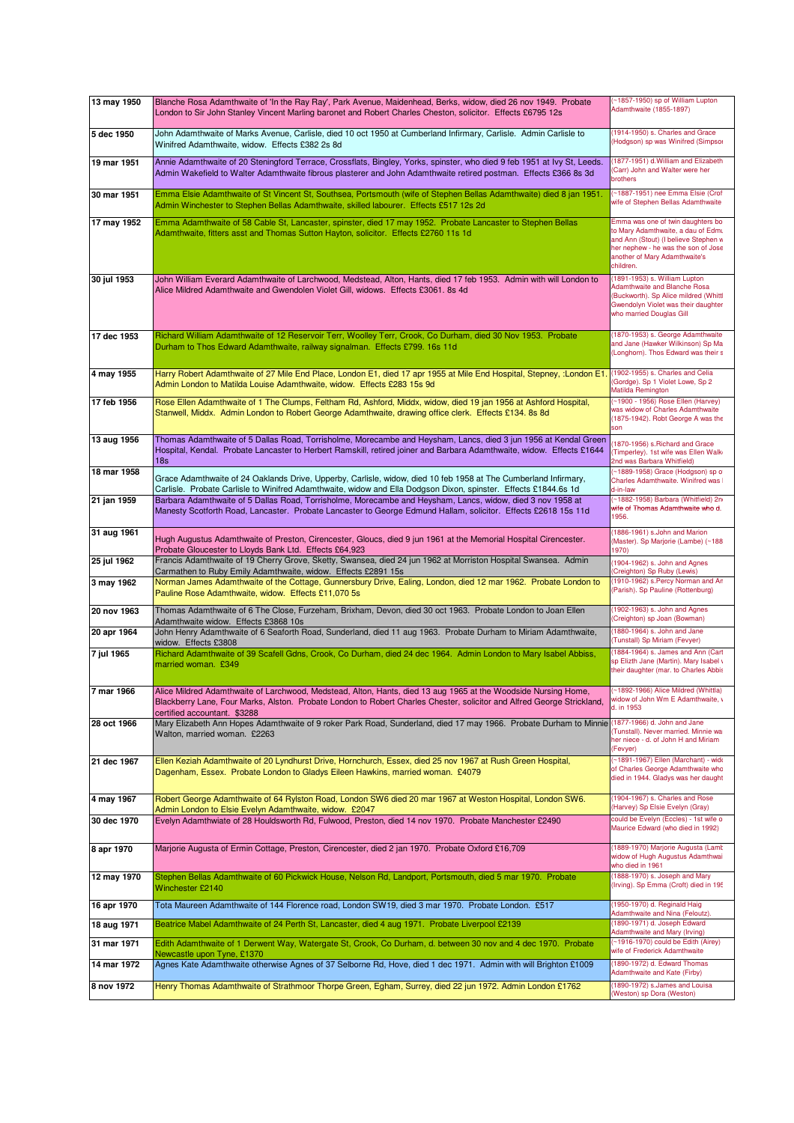| 13 may 1950 | Blanche Rosa Adamthwaite of 'In the Ray Ray', Park Avenue, Maidenhead, Berks, widow, died 26 nov 1949. Probate<br>London to Sir John Stanley Vincent Marling baronet and Robert Charles Cheston, solicitor. Effects £6795 12s                                            | (~1857-1950) sp of William Lupton<br>Adamthwaite (1855-1897)                                                                                                                                         |
|-------------|--------------------------------------------------------------------------------------------------------------------------------------------------------------------------------------------------------------------------------------------------------------------------|------------------------------------------------------------------------------------------------------------------------------------------------------------------------------------------------------|
| 5 dec 1950  | John Adamthwaite of Marks Avenue, Carlisle, died 10 oct 1950 at Cumberland Infirmary, Carlisle. Admin Carlisle to<br>Winifred Adamthwaite, widow. Effects £382 2s 8d                                                                                                     | (1914-1950) s. Charles and Grace<br>(Hodgson) sp was Winifred (Simpsor                                                                                                                               |
| 19 mar 1951 | Annie Adamthwaite of 20 Steningford Terrace, Crossflats, Bingley, Yorks, spinster, who died 9 feb 1951 at Ivy St, Leeds.<br>Admin Wakefield to Walter Adamthwaite fibrous plasterer and John Adamthwaite retired postman. Effects £366 8s 3d                             | (1877-1951) d. William and Elizabeth<br>(Carr) John and Walter were her<br>brothers                                                                                                                  |
| 30 mar 1951 | Emma Elsie Adamthwaite of St Vincent St, Southsea, Portsmouth (wife of Stephen Bellas Adamthwaite) died 8 jan 1951.<br>Admin Winchester to Stephen Bellas Adamthwaite, skilled labourer. Effects £517 12s 2d                                                             | ~1887-1951) nee Emma Elsie (Crof<br>wife of Stephen Bellas Adamthwaite                                                                                                                               |
| 17 may 1952 | Emma Adamthwaite of 58 Cable St, Lancaster, spinster, died 17 may 1952. Probate Lancaster to Stephen Bellas<br>Adamthwaite, fitters asst and Thomas Sutton Hayton, solicitor. Effects £2760 11s 1d                                                                       | Emma was one of twin daughters bo<br>to Mary Adamthwaite, a dau of Edmu<br>and Ann (Stout) (I believe Stephen w<br>her nephew - he was the son of Jose<br>another of Mary Adamthwaite's<br>children. |
| 30 jul 1953 | John William Everard Adamthwaite of Larchwood, Medstead, Alton, Hants, died 17 feb 1953. Admin with will London to<br>Alice Mildred Adamthwaite and Gwendolen Violet Gill, widows. Effects £3061. 8s 4d                                                                  | (1891-1953) s. William Lupton<br><b>Adamthwaite and Blanche Rosa</b><br>(Buckworth). Sp Alice mildred (Whittl<br>Gwendolyn Violet was their daughter<br>who married Douglas Gill                     |
| 17 dec 1953 | Richard William Adamthwaite of 12 Reservoir Terr, Woolley Terr, Crook, Co Durham, died 30 Nov 1953. Probate<br>Durham to Thos Edward Adamthwaite, railway signalman. Effects £799. 16s 11d                                                                               | (1870-1953) s. George Adamthwaite<br>and Jane (Hawker Wilkinson) Sp Ma<br>(Longhorn). Thos Edward was their s                                                                                        |
| 4 may 1955  | Harry Robert Adamthwaite of 27 Mile End Place, London E1, died 17 apr 1955 at Mile End Hospital, Stepney, :London E1.<br>Admin London to Matilda Louise Adamthwaite, widow. Effects £283 15s 9d                                                                          | (1902-1955) s. Charles and Celia<br>(Gordge). Sp 1 Violet Lowe, Sp 2<br>Matilda Remington                                                                                                            |
| 17 feb 1956 | Rose Ellen Adamthwaite of 1 The Clumps, Feltham Rd, Ashford, Middx, widow, died 19 jan 1956 at Ashford Hospital,<br>Stanwell, Middx. Admin London to Robert George Adamthwaite, drawing office clerk. Effects £134. 8s 8d                                                | (~1900 - 1956) Rose Ellen (Harvey)<br>was widow of Charles Adamthwaite<br>(1875-1942). Robt George A was the<br>son                                                                                  |
| 13 aug 1956 | Thomas Adamthwaite of 5 Dallas Road, Torrisholme, Morecambe and Heysham, Lancs, died 3 jun 1956 at Kendal Green<br>Hospital, Kendal. Probate Lancaster to Herbert Ramskill, retired joiner and Barbara Adamthwaite, widow. Effects £1644<br>18 <sub>s</sub>              | 1870-1956) s. Richard and Grace<br>(Timperley). 1st wife was Ellen Walki<br>2nd was Barbara Whitfield)                                                                                               |
| 18 mar 1958 | Grace Adamthwaite of 24 Oaklands Drive, Upperby, Carlisle, widow, died 10 feb 1958 at The Cumberland Infirmary,<br>Carlisle. Probate Carlisle to Winifred Adamthwaite, widow and Ella Dodgson Dixon, spinster. Effects £1844.6s 1d                                       | ~1889-1958) Grace (Hodgson) sp o<br>Charles Adamthwaite. Winifred was I<br>d-in-law                                                                                                                  |
| 21 jan 1959 | Barbara Adamthwaite of 5 Dallas Road, Torrisholme, Morecambe and Heysham, Lancs, widow, died 3 nov 1958 at<br>Manesty Scotforth Road, Lancaster. Probate Lancaster to George Edmund Hallam, solicitor. Effects £2618 15s 11d                                             | ~1882-1958) Barbara (Whitfield) 2n<br>wife of Thomas Adamthwaite who d.<br>1956.                                                                                                                     |
| 31 aug 1961 | Hugh Augustus Adamthwaite of Preston, Cirencester, Gloucs, died 9 jun 1961 at the Memorial Hospital Cirencester.<br>Probate Gloucester to Lloyds Bank Ltd. Effects £64,923                                                                                               | (1886-1961) s.John and Marion<br>(Master). Sp Marjorie (Lambe) (~188<br>1970)                                                                                                                        |
| 25 jul 1962 | Francis Adamthwaite of 19 Cherry Grove, Sketty, Swansea, died 24 jun 1962 at Morriston Hospital Swansea. Admin<br>Carmathen to Ruby Emily Adamthwaite, widow. Effects £2891 15s                                                                                          | (1904-1962) s. John and Agnes<br>(Creighton) Sp Ruby (Lewis)                                                                                                                                         |
| 3 may 1962  | Norman James Adamthwaite of the Cottage, Gunnersbury Drive, Ealing, London, died 12 mar 1962. Probate London to<br>Pauline Rose Adamthwaite, widow. Effects £11,070 5s                                                                                                   | (1910-1962) s.Percy Norman and An<br>(Parish). Sp Pauline (Rottenburg)                                                                                                                               |
| 20 nov 1963 | Thomas Adamthwaite of 6 The Close, Furzeham, Brixham, Devon, died 30 oct 1963. Probate London to Joan Ellen<br>Adamthwaite widow. Effects £3868 10s                                                                                                                      | (1902-1963) s. John and Agnes<br>(Creighton) sp Joan (Bowman)                                                                                                                                        |
| 20 apr 1964 | John Henry Adamthwaite of 6 Seaforth Road, Sunderland, died 11 aug 1963. Probate Durham to Miriam Adamthwaite,<br>widow. Effects £3808                                                                                                                                   | (1880-1964) s. John and Jane<br>(Tunstall) Sp Miriam (Fevyer)                                                                                                                                        |
| 7 jul 1965  | Richard Adamthwaite of 39 Scafell Gdns, Crook, Co Durham, died 24 dec 1964. Admin London to Mary Isabel Abbiss,<br>married woman. £349                                                                                                                                   | (1884-1964) s. James and Ann (Cart<br>sp Elizth Jane (Martin). Mary Isabel v<br>their daughter (mar. to Charles Abbis                                                                                |
| 7 mar 1966  | Alice Mildred Adamthwaite of Larchwood, Medstead, Alton, Hants, died 13 aug 1965 at the Woodside Nursing Home,<br>Blackberry Lane, Four Marks, Alston. Probate London to Robert Charles Chester, solicitor and Alfred George Strickland,<br>certified accountant. \$3288 | (~1892-1966) Alice Mildred (Whittla)<br>widow of John Wm E Adamthwaite, v<br>d. in 1953                                                                                                              |
| 28 oct 1966 | Mary Elizabeth Ann Hopes Adamthwaite of 9 roker Park Road, Sunderland, died 17 may 1966. Probate Durham to Minnie<br>Walton, married woman. £2263                                                                                                                        | (1877-1966) d. John and Jane<br>(Tunstall). Never married. Minnie wa:<br>her niece - d. of John H and Miriam<br>(Fevver)                                                                             |
| 21 dec 1967 | Ellen Keziah Adamthwaite of 20 Lyndhurst Drive, Hornchurch, Essex, died 25 nov 1967 at Rush Green Hospital,<br>Dagenham, Essex. Probate London to Gladys Eileen Hawkins, married woman. £4079                                                                            | (~1891-1967) Ellen (Marchant) - wido<br>of Charles George Adamthwaite who<br>died in 1944. Gladys was her daught                                                                                     |
| 4 may 1967  | Robert George Adamthwaite of 64 Rylston Road, London SW6 died 20 mar 1967 at Weston Hospital, London SW6.<br>Admin London to Elsie Evelyn Adamthwaite, widow. £2047                                                                                                      | (1904-1967) s. Charles and Rose<br>(Harvey) Sp Elsie Evelyn (Gray)                                                                                                                                   |
| 30 dec 1970 | Evelyn Adamthwiate of 28 Houldsworth Rd, Fulwood, Preston, died 14 nov 1970. Probate Manchester £2490                                                                                                                                                                    | could be Evelyn (Eccles) - 1st wife o<br>Maurice Edward (who died in 1992)                                                                                                                           |
| 8 apr 1970  | Marjorie Augusta of Ermin Cottage, Preston, Cirencester, died 2 jan 1970. Probate Oxford £16,709                                                                                                                                                                         | (1889-1970) Marjorie Augusta (Lamb<br>widow of Hugh Augustus Adamthwai<br>who died in 1961                                                                                                           |
| 12 may 1970 | Stephen Bellas Adamthwaite of 60 Pickwick House, Nelson Rd, Landport, Portsmouth, died 5 mar 1970. Probate<br>Winchester £2140                                                                                                                                           | (1888-1970) s. Joseph and Mary<br>(Irving). Sp Emma (Croft) died in 195                                                                                                                              |
| 16 apr 1970 | Tota Maureen Adamthwaite of 144 Florence road, London SW19, died 3 mar 1970. Probate London. £517                                                                                                                                                                        | (1950-1970) d. Reginald Haig<br>Adamthwaite and Nina (Feloutz).                                                                                                                                      |
| 18 aug 1971 | Beatrice Mabel Adamthwaite of 24 Perth St, Lancaster, died 4 aug 1971. Probate Liverpool £2139                                                                                                                                                                           | 1890-1971) d. Joseph Edward<br>Adamthwaite and Mary (Irving)                                                                                                                                         |
| 31 mar 1971 | Edith Adamthwaite of 1 Derwent Way, Watergate St, Crook, Co Durham, d. between 30 nov and 4 dec 1970. Probate<br>Newcastle upon Tyne, £1370                                                                                                                              | (~1916-1970) could be Edith (Airey)<br>wife of Frederick Adamthwaite                                                                                                                                 |
| 14 mar 1972 | Agnes Kate Adamthwaite otherwise Agnes of 37 Selborne Rd, Hove, died 1 dec 1971. Admin with will Brighton £1009                                                                                                                                                          | (1890-1972) d. Edward Thomas<br><b>Adamthwaite and Kate (Firby)</b>                                                                                                                                  |
| 8 nov 1972  | Henry Thomas Adamthwaite of Strathmoor Thorpe Green, Egham, Surrey, died 22 jun 1972. Admin London £1762                                                                                                                                                                 | (1890-1972) s.James and Louisa<br>(Weston) sp Dora (Weston)                                                                                                                                          |